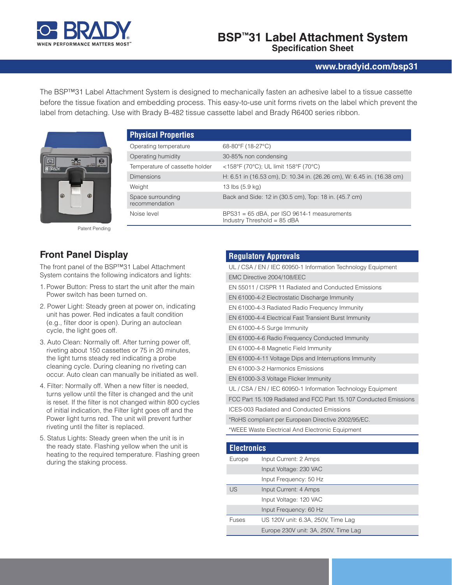

### **BSP™31 Label Attachment System Specification Sheet**

### **www.bradyid.com/bsp31**

The BSP™31 Label Attachment System is designed to mechanically fasten an adhesive label to a tissue cassette before the tissue fixation and embedding process. This easy-to-use unit forms rivets on the label which prevent the label from detaching. Use with Brady B-482 tissue cassette label and Brady R6400 series ribbon.

Н



Patent Pending

## **Front Panel Display**

The front panel of the BSP™31 Label Attachment System contains the following indicators and lights:

- 1. Power Button: Press to start the unit after the main Power switch has been turned on.
- 2. Power Light: Steady green at power on, indicating unit has power. Red indicates a fault condition (e.g., filter door is open). During an autoclean cycle, the light goes off.
- 3. Auto Clean: Normally off. After turning power off, riveting about 150 cassettes or 75 in 20 minutes, the light turns steady red indicating a probe cleaning cycle. During cleaning no riveting can occur. Auto clean can manually be initiated as well.
- 4. Filter: Normally off. When a new filter is needed, turns yellow until the filter is changed and the unit is reset. If the filter is not changed within 800 cycles of initial indication, the Filter light goes off and the Power light turns red. The unit will prevent further riveting until the filter is replaced.
- 5. Status Lights: Steady green when the unit is in the ready state. Flashing yellow when the unit is heating to the required temperature. Flashing green during the staking process.

| <b>Physical Properties</b>          |                                                                              |
|-------------------------------------|------------------------------------------------------------------------------|
| Operating temperature               | 68-80°F (18-27°C)                                                            |
| Operating humidity                  | 30-85% non condensing                                                        |
| Temperature of cassette holder      | <158°F (70°C); UL limit 158°F (70°C)                                         |
| <b>Dimensions</b>                   | H: 6.51 in (16.53 cm), D: 10.34 in. (26.26 cm), W: 6.45 in. (16.38 cm)       |
| Weight                              | 13 lbs (5.9 kg)                                                              |
| Space surrounding<br>recommendation | Back and Side: 12 in (30.5 cm), Top: 18 in. (45.7 cm)                        |
| Noise level                         | $BPS31 = 65$ dBA, per ISO 9614-1 measurements<br>Industry Threshold = 85 dBA |

### **Regulatory Approvals**

| UL / CSA / EN / IEC 60950-1 Information Technology Equipment     |  |
|------------------------------------------------------------------|--|
| EMC Directive 2004/108/EEC                                       |  |
| EN 55011 / CISPR 11 Radiated and Conducted Emissions             |  |
| EN 61000-4-2 Electrostatic Discharge Immunity                    |  |
| EN 61000-4-3 Radiated Radio Frequency Immunity                   |  |
| EN 61000-4-4 Electrical Fast Transient Burst Immunity            |  |
| EN 61000-4-5 Surge Immunity                                      |  |
| EN 61000-4-6 Radio Frequency Conducted Immunity                  |  |
| EN 61000-4-8 Magnetic Field Immunity                             |  |
| EN 61000-4-11 Voltage Dips and Interruptions Immunity            |  |
| EN 61000-3-2 Harmonics Emissions                                 |  |
| EN 61000-3-3 Voltage Flicker Immunity                            |  |
| UL / CSA / EN / IEC 60950-1 Information Technology Equipment     |  |
| FCC Part 15.109 Radiated and FCC Part 15.107 Conducted Emissions |  |
| <b>ICES-003 Radiated and Conducted Emissions</b>                 |  |
| *RoHS compliant per European Directive 2002/95/EC.               |  |
| *WEEE Waste Electrical And Electronic Equipment                  |  |
|                                                                  |  |

| <b>Electronics</b> |                                      |  |
|--------------------|--------------------------------------|--|
| Europe             | Input Current: 2 Amps                |  |
|                    | Input Voltage: 230 VAC               |  |
|                    | Input Frequency: 50 Hz               |  |
| <b>US</b>          | Input Current: 4 Amps                |  |
|                    | Input Voltage: 120 VAC               |  |
|                    | Input Frequency: 60 Hz               |  |
| <b>Fuses</b>       | US 120V unit: 6.3A, 250V, Time Lag   |  |
|                    | Europe 230V unit: 3A, 250V, Time Lag |  |